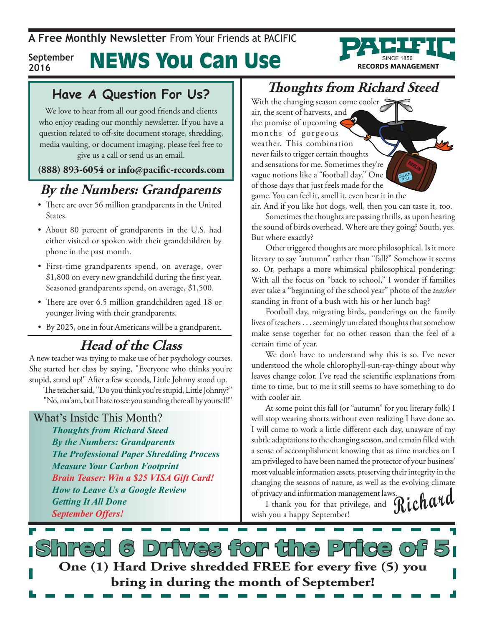#### News You Can Use **September**



## **2016**

### **Have A Question For Us?**

We love to hear from all our good friends and clients who enjoy reading our monthly newsletter. If you have a question related to off-site document storage, shredding, media vaulting, or document imaging, please feel free to give us a call or send us an email.

### **(888) 893-6054 or info@pacific-records.com**

## **By the Numbers: Grandparents**

- There are over 56 million grandparents in the United **States**.
- • About 80 percent of grandparents in the U.S. had either visited or spoken with their grandchildren by phone in the past month.
- First-time grandparents spend, on average, over \$1,800 on every new grandchild during the first year. Seasoned grandparents spend, on average, \$1,500.
- There are over 6.5 million grandchildren aged 18 or younger living with their grandparents.
- By 2025, one in four Americans will be a grandparent.

### **Head of the Class**

A new teacher was trying to make use of her psychology courses. She started her class by saying, "Everyone who thinks you're stupid, stand up!" After a few seconds, Little Johnny stood up.

The teacher said, "Do you think you're stupid, Little Johnny?" "No, ma'am, but I hate to see you standing there all by yourself!"

### What's Inside This Month?

*Thoughts from Richard Steed By the Numbers: Grandparents The Professional Paper Shredding Process Measure Your Carbon Footprint Brain Teaser: Win a \$25 VISA Gift Card! How to Leave Us a Google Review Getting It All Done September Offers!*

### **Thoughts from Richard Steed**

With the changing season come cooler air, the scent of harvests, and the promise of upcoming months of gorgeous weather. This combination never fails to trigger certain thoughts and sensations for me. Sometimes they're vague notions like a "football day." One of those days that just feels made for the game. You can feel it, smell it, even hear it in the air. And if you like hot dogs, well, then you can taste it, too.

Sometimes the thoughts are passing thrills, as upon hearing the sound of birds overhead. Where are they going? South, yes. But where exactly?

Other triggered thoughts are more philosophical. Is it more literary to say "autumn" rather than "fall?" Somehow it seems so. Or, perhaps a more whimsical philosophical pondering: With all the focus on "back to school," I wonder if families ever take a "beginning of the school year" photo of the *teacher* standing in front of a bush with his or her lunch bag?

Football day, migrating birds, ponderings on the family lives of teachers . . . seemingly unrelated thoughts that somehow make sense together for no other reason than the feel of a certain time of year.

We don't have to understand why this is so. I've never understood the whole chlorophyll-sun-ray-thingy about why leaves change color. I've read the scientific explanations from time to time, but to me it still seems to have something to do with cooler air.

At some point this fall (or "autumn" for you literary folk) I will stop wearing shorts without even realizing I have done so. I will come to work a little different each day, unaware of my subtle adaptations to the changing season, and remain filled with a sense of accomplishment knowing that as time marches on I am privileged to have been named the protector of your business' most valuable information assets, preserving their integrity in the changing the seasons of nature, as well as the evolving climate of privacy and information management laws.

Fivacy and information management laws.<br>I thank you for that privilege, and **Richard** wish you a happy September!

S Dritves for the P **One (1) Hard Drive shredded FREE for every five (5) you bring in during the month of September!**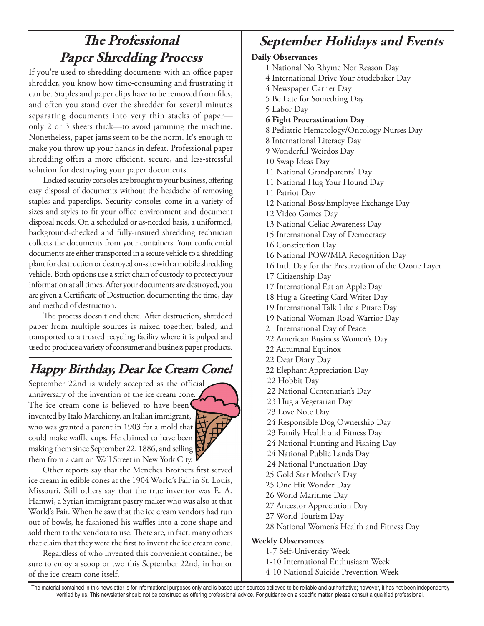## **The Professional Paper Shredding Process**

If you're used to shredding documents with an office paper shredder, you know how time-consuming and frustrating it can be. Staples and paper clips have to be removed from files, and often you stand over the shredder for several minutes separating documents into very thin stacks of paper only 2 or 3 sheets thick—to avoid jamming the machine. Nonetheless, paper jams seem to be the norm. It's enough to make you throw up your hands in defeat. Professional paper shredding offers a more efficient, secure, and less-stressful solution for destroying your paper documents.

Locked security consoles are brought to your business, offering easy disposal of documents without the headache of removing staples and paperclips. Security consoles come in a variety of sizes and styles to fit your office environment and document disposal needs. On a scheduled or as-needed basis, a uniformed, background-checked and fully-insured shredding technician collects the documents from your containers. Your confidential documents are either transported in a secure vehicle to a shredding plant for destruction or destroyed on-site with a mobile shredding vehicle. Both options use a strict chain of custody to protect your information at all times. After your documents are destroyed, you are given a Certificate of Destruction documenting the time, day and method of destruction.

The process doesn't end there. After destruction, shredded paper from multiple sources is mixed together, baled, and transported to a trusted recycling facility where it is pulped and used to produce a variety of consumer and business paper products.

### **Happy Birthday, Dear Ice Cream Cone!**

September 22nd is widely accepted as the official anniversary of the invention of the ice cream cone. The ice cream cone is believed to have been invented by Italo Marchiony, an Italian immigrant, who was granted a patent in 1903 for a mold that could make waffle cups. He claimed to have been making them since September 22, 1886, and selling them from a cart on Wall Street in New York City.



Other reports say that the Menches Brothers first served ice cream in edible cones at the 1904 World's Fair in St. Louis, Missouri. Still others say that the true inventor was E. A. Hamwi, a Syrian immigrant pastry maker who was also at that World's Fair. When he saw that the ice cream vendors had run out of bowls, he fashioned his waffles into a cone shape and sold them to the vendors to use. There are, in fact, many others that claim that they were the first to invent the ice cream cone.

Regardless of who invented this convenient container, be sure to enjoy a scoop or two this September 22nd, in honor of the ice cream cone itself.

### **September Holidays and Events**

### **Daily Observances**

- 1 National No Rhyme Nor Reason Day
- 4 International Drive Your Studebaker Day
- 4 Newspaper Carrier Day
- 5 Be Late for Something Day
- 5 Labor Day
- **6 Fight Procrastination Day**
- 8 Pediatric Hematology/Oncology Nurses Day
- 8 International Literacy Day
- 9 Wonderful Weirdos Day
- 10 Swap Ideas Day
- 11 National Grandparents' Day
- 11 National Hug Your Hound Day
- 11 Patriot Day
- 12 National Boss/Employee Exchange Day
- 12 Video Games Day
- 13 National Celiac Awareness Day
- 15 International Day of Democracy
- 16 Constitution Day
- 16 National POW/MIA Recognition Day
- 16 Intl. Day for the Preservation of the Ozone Layer
- 17 Citizenship Day
- 17 International Eat an Apple Day
- 18 Hug a Greeting Card Writer Day
- 19 International Talk Like a Pirate Day
- 19 National Woman Road Warrior Day
- 21 International Day of Peace
- 22 American Business Women's Day
- 22 Autumnal Equinox
- 22 Dear Diary Day
- 22 Elephant Appreciation Day
- 22 Hobbit Day
- 22 National Centenarian's Day
- 23 Hug a Vegetarian Day
- 23 Love Note Day
- 24 Responsible Dog Ownership Day
- 23 Family Health and Fitness Day
- 24 National Hunting and Fishing Day
- 24 National Public Lands Day
- 24 National Punctuation Day
- 25 Gold Star Mother's Day
- 25 One Hit Wonder Day
- 26 World Maritime Day
- 27 Ancestor Appreciation Day
- 27 World Tourism Day
- 28 National Women's Health and Fitness Day

### **Weekly Observances**

- 1-7 Self-University Week
- 1-10 International Enthusiasm Week
- 4-10 National Suicide Prevention Week

The material contained in this newsletter is for informational purposes only and is based upon sources believed to be reliable and authoritative; however, it has not been independently verified by us. This newsletter should not be construed as offering professional advice. For guidance on a specific matter, please consult a qualified professional.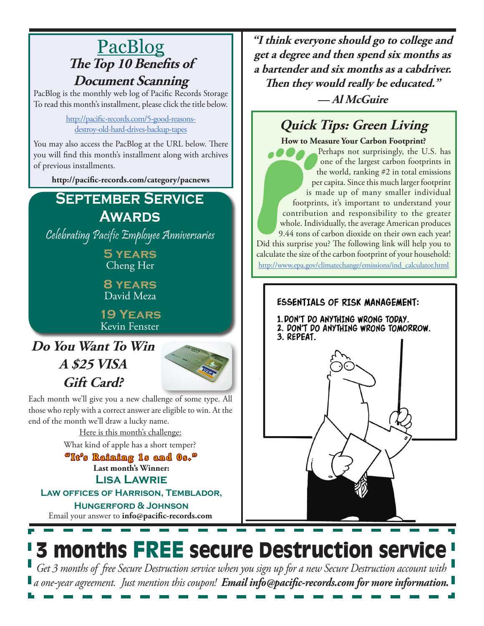## PacBlog **The Top 10 Benefits of Document Scanning**

PacBlog is the monthly web log of Pacific Records Storage To read this month's installment, please click the title below.

> [http://pacific-records.com/5-good-reasons](http://pacific-records.com/5-good-reasons-
> destroy-old-hard-drives-backup-tapes)[destroy-old-hard-drives-backup-tapes](http://pacific-records.com/5-good-reasons-
> destroy-old-hard-drives-backup-tapes)

You may also access the PacBlog at the URL below. There you will find this month's installment along with archives of previous installments.

**http://pacific-records.com/category/pacnews**

### **September Service Awards**

Celebrating Pacific Employee Anniversaries

**5 years** Cheng Her

**8 years** David Meza

**19 Years** Kevin Fenster

**Do You Want To Win A \$25 VISA Gift Card?**



3 months FREE secure Destruction service

*Get 3 months of free Secure Destruction service when you sign up for a new Secure Destruction account with a one-year agreement. Just mention this coupon! Email info@pacific-records.com for more information.*

Each month we'll give you a new challenge of some type. All those who reply with a correct answer are eligible to win. At the end of the month we'll draw a lucky name.

> Here is this month's challenge: What kind of apple has a short temper?

> **Last month's Winner: Lisa Lawrie "It's Raining 1s and 0s."**

**Law offices of Harrison, Temblador, Hungerford & Johnson**

Email your answer to **info@pacific-records.com**

**"I think everyone should go to college and get a degree and then spend six months as a bartender and six months as a cabdriver. Then they would really be educated."**

**— Al McGuire**

## **Quick Tips: Green Living**

**How to Measure Your Carbon Footprint?**  Perhaps not surprisingly, the U.S. has one of the largest carbon footprints in the world, ranking #2 in total emissions per capita. Since this much larger footprint is made up of many smaller individual footprints, it's important to understand your contribution and responsibility to the greater whole. Individually, the average American produces 9.44 tons of carbon dioxide on their own each year! Did this surprise you? The following link will help you to calculate the size of the carbon footprint of your household:

[http://www.epa.gov/climatechange/emissions/ind\\_calculator.html](http://www.epa.gov/climatechange/emissions/ind_calculator.html)

### **ESSENTIALS OF RISK MANAGEMENT:** 1. DON'T DO ANYTHING WRONG TODAY.

2. DON'T DO ANYTHING WRONG TOMORROW. 3. REPEAT.